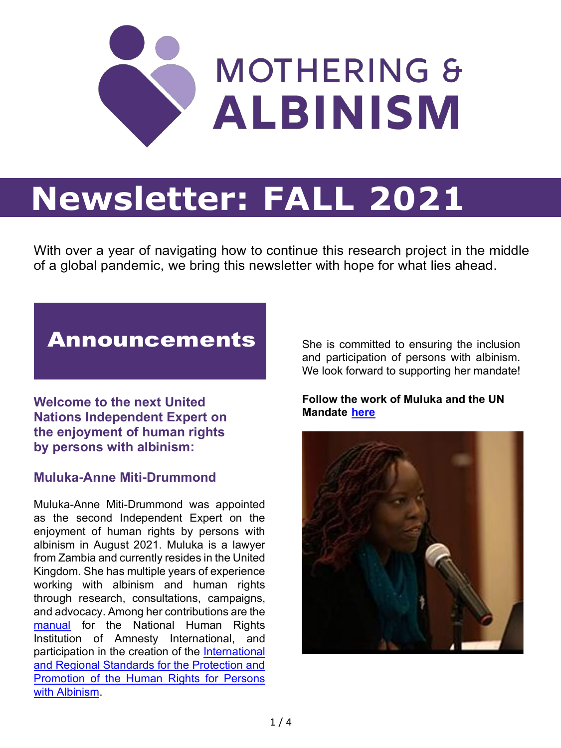

# **Newsletter: FALL 2021**

With over a year of navigating how to continue this research project in the middle of a global pandemic, we bring this newsletter with hope for what lies ahead.

# Announcements

**Welcome to the next United Nations Independent Expert on the enjoyment of human rights by persons with albinism:** 

#### **Muluka-Anne Miti-Drummond**

Muluka-Anne Miti-Drummond was appointed as the second Independent Expert on the enjoyment of human rights by persons with albinism in August 2021. Muluka is a lawyer from Zambia and currently resides in the United Kingdom. She has multiple years of experience working with albinism and human rights through research, consultations, campaigns, and advocacy. Among her contributions are the [manual](https://www.amnesty.org/en/documents/afr03/3879/2021/en/) for the National Human Rights Institution of Amnesty International, and participation in the creation of the [International](https://www.refworld.org/docid/5a5f59da4.html)  [and Regional Standards for the Protection and](https://www.refworld.org/docid/5a5f59da4.html)  [Promotion of the Human Rights for Persons](https://www.refworld.org/docid/5a5f59da4.html)  [with Albinism.](https://www.refworld.org/docid/5a5f59da4.html)

She is committed to ensuring the inclusion and participation of persons with albinism. We look forward to supporting her mandate!

#### **Follow the work of Muluka and the UN Mandate [here](https://twitter.com/unalbinism?lang=en)**

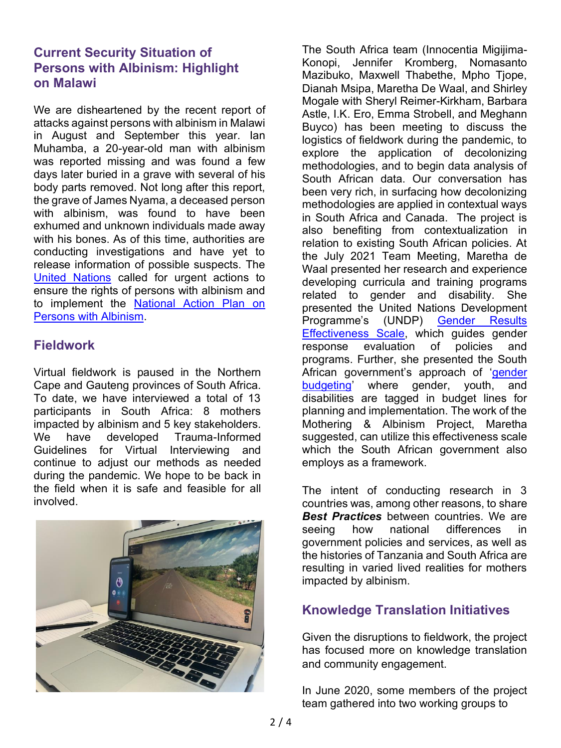# **Current Security Situation of Persons with Albinism: Highlight on Malawi**

We are disheartened by the recent report of attacks against persons with albinism in Malawi in August and September this year. Ian Muhamba, a 20-year-old man with albinism was reported missing and was found a few days later buried in a grave with several of his body parts removed. Not long after this report, the grave of James Nyama, a deceased person with albinism, was found to have been exhumed and unknown individuals made away with his bones. As of this time, authorities are conducting investigations and have yet to release information of possible suspects. The [United Nations](https://malawi.un.org/en/140449-un-expresses-concern-over-death-person-albinism) called for urgent actions to ensure the rights of persons with albinism and to implement the [National Action Plan on](https://alanmsosa.files.wordpress.com/2018/09/malawi-national-action-plan-on-albinism.pdf)  [Persons with Albinism.](https://alanmsosa.files.wordpress.com/2018/09/malawi-national-action-plan-on-albinism.pdf)

# **Fieldwork**

Virtual fieldwork is paused in the Northern Cape and Gauteng provinces of South Africa. To date, we have interviewed a total of 13 participants in South Africa: 8 mothers impacted by albinism and 5 key stakeholders. We have developed Trauma-Informed Guidelines for Virtual Interviewing and continue to adjust our methods as needed during the pandemic. We hope to be back in the field when it is safe and feasible for all involved.



The South Africa team (Innocentia Migijima-Konopi, Jennifer Kromberg, Nomasanto Mazibuko, Maxwell Thabethe, Mpho Tjope, Dianah Msipa, Maretha De Waal, and Shirley Mogale with Sheryl Reimer-Kirkham, Barbara Astle, I.K. Ero, Emma Strobell, and Meghann Buyco) has been meeting to discuss the logistics of fieldwork during the pandemic, to explore the application of decolonizing methodologies, and to begin data analysis of South African data. Our conversation has been very rich, in surfacing how decolonizing methodologies are applied in contextual ways in South Africa and Canada. The project is also benefiting from contextualization in relation to existing South African policies. At the July 2021 Team Meeting, Maretha de Waal presented her research and experience developing curricula and training programs related to gender and disability. She presented the United Nations Development Programme's (UNDP) [Gender Results](http://web.undp.org/evaluation/documents/guidance/gender/GRES_English.pdf)  [Effectiveness Scale,](http://web.undp.org/evaluation/documents/guidance/gender/GRES_English.pdf) which guides gender response evaluation of policies and programs. Further, she presented the South African government's approach of '[gender](http://www.treasury.gov.za/publications/guidelines/2021%20MTEF%20guidelines.pdf)  [budgeting](http://www.treasury.gov.za/publications/guidelines/2021%20MTEF%20guidelines.pdf)' where gender, youth, and disabilities are tagged in budget lines for planning and implementation. The work of the Mothering & Albinism Project, Maretha suggested, can utilize this effectiveness scale which the South African government also employs as a framework.

The intent of conducting research in 3 countries was, among other reasons, to share *Best Practices* between countries. We are seeing how national differences in government policies and services, as well as the histories of Tanzania and South Africa are resulting in varied lived realities for mothers impacted by albinism.

# **Knowledge Translation Initiatives**

Given the disruptions to fieldwork, the project has focused more on knowledge translation and community engagement.

In June 2020, some members of the project team gathered into two working groups to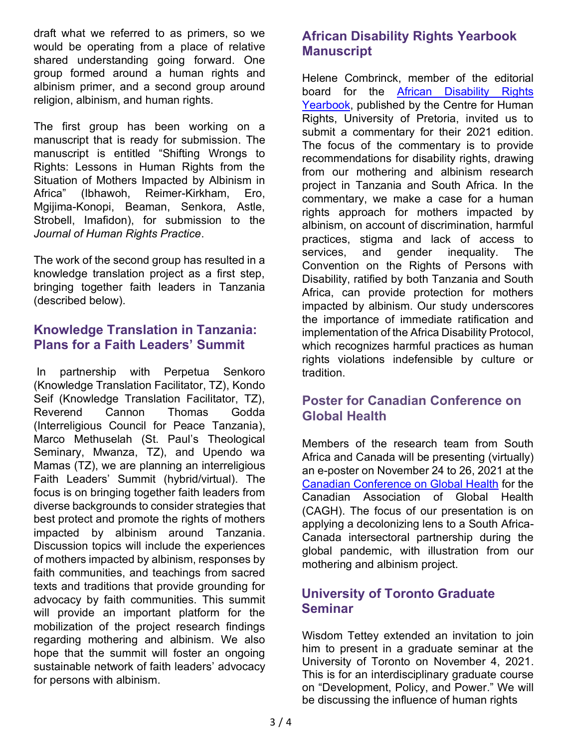draft what we referred to as primers, so we would be operating from a place of relative shared understanding going forward. One group formed around a human rights and albinism primer, and a second group around religion, albinism, and human rights.

The first group has been working on a manuscript that is ready for submission. The manuscript is entitled "Shifting Wrongs to Rights: Lessons in Human Rights from the Situation of Mothers Impacted by Albinism in Africa" (Ibhawoh, Reimer-Kirkham, Ero, Mgijima-Konopi, Beaman, Senkora, Astle, Strobell, Imafidon), for submission to the *Journal of Human Rights Practice*.

The work of the second group has resulted in a knowledge translation project as a first step, bringing together faith leaders in Tanzania (described below).

#### **Knowledge Translation in Tanzania: Plans for a Faith Leaders' Summit**

In partnership with Perpetua Senkoro (Knowledge Translation Facilitator, TZ), Kondo Seif (Knowledge Translation Facilitator, TZ), Reverend Cannon Thomas Godda (Interreligious Council for Peace Tanzania), Marco Methuselah (St. Paul's Theological Seminary, Mwanza, TZ), and Upendo wa Mamas (TZ), we are planning an interreligious Faith Leaders' Summit (hybrid/virtual). The focus is on bringing together faith leaders from diverse backgrounds to consider strategies that best protect and promote the rights of mothers impacted by albinism around Tanzania. Discussion topics will include the experiences of mothers impacted by albinism, responses by faith communities, and teachings from sacred texts and traditions that provide grounding for advocacy by faith communities. This summit will provide an important platform for the mobilization of the project research findings regarding mothering and albinism. We also hope that the summit will foster an ongoing sustainable network of faith leaders' advocacy for persons with albinism.

# **African Disability Rights Yearbook Manuscript**

Helene Combrinck, member of the editorial board for the [African Disability Rights](https://www.adry.up.ac.za/index.html) [Yearbook,](https://www.adry.up.ac.za/index.html) published by the Centre for Human Rights, University of Pretoria, invited us to submit a commentary for their 2021 edition. The focus of the commentary is to provide recommendations for disability rights, drawing from our mothering and albinism research project in Tanzania and South Africa. In the commentary, we make a case for a human rights approach for mothers impacted by albinism, on account of discrimination, harmful practices, stigma and lack of access to services, and gender inequality. The Convention on the Rights of Persons with Disability, ratified by both Tanzania and South Africa, can provide protection for mothers impacted by albinism. Our study underscores the importance of immediate ratification and implementation of the Africa Disability Protocol, which recognizes harmful practices as human rights violations indefensible by culture or tradition.

# **Poster for Canadian Conference on Global Health**

Members of the research team from South Africa and Canada will be presenting (virtually) an e-poster on November 24 to 26, 2021 at the [Canadian Conference on Global Health](https://cagh-acsm.org/en/events/canadian-conference-global-health) for the Canadian Association of Global Health (CAGH). The focus of our presentation is on applying a decolonizing lens to a South Africa-Canada intersectoral partnership during the global pandemic, with illustration from our mothering and albinism project.

# **University of Toronto Graduate Seminar**

Wisdom Tettey extended an invitation to join him to present in a graduate seminar at the University of Toronto on November 4, 2021. This is for an interdisciplinary graduate course on "Development, Policy, and Power." We will be discussing the influence of human rights